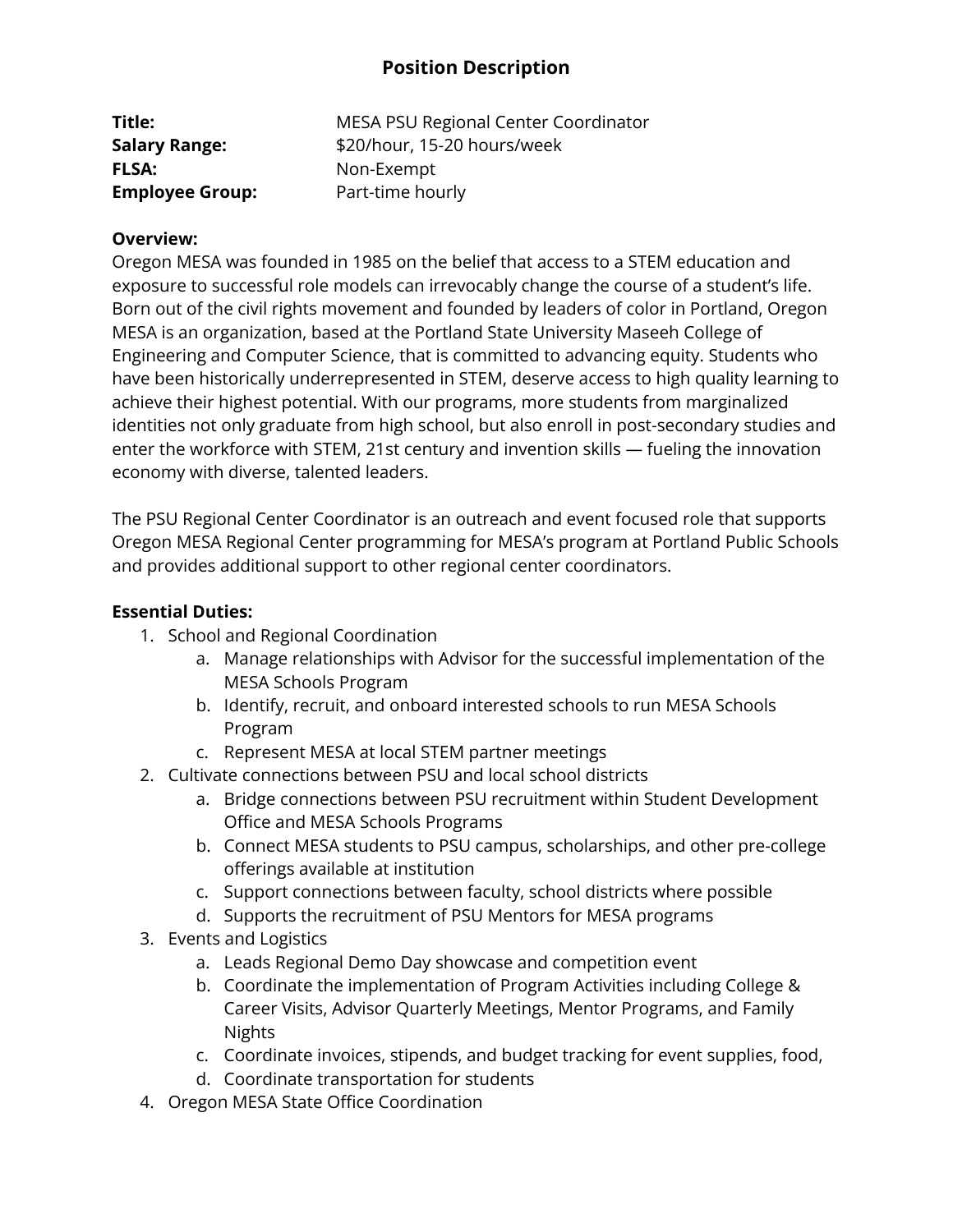## **Position Description**

| Title:                 | MESA PSU Regional Center Coordinator |
|------------------------|--------------------------------------|
| <b>Salary Range:</b>   | \$20/hour, 15-20 hours/week          |
| <b>FLSA:</b>           | Non-Exempt                           |
| <b>Employee Group:</b> | Part-time hourly                     |

#### **Overview:**

Oregon MESA was founded in 1985 on the belief that access to a STEM education and exposure to successful role models can irrevocably change the course of a student's life. Born out of the civil rights movement and founded by leaders of color in Portland, Oregon MESA is an organization, based at the Portland State University Maseeh College of Engineering and Computer Science, that is committed to advancing equity. Students who have been historically underrepresented in STEM, deserve access to high quality learning to achieve their highest potential. With our programs, more students from marginalized identities not only graduate from high school, but also enroll in post-secondary studies and enter the workforce with STEM, 21st century and invention skills — fueling the innovation economy with diverse, talented leaders.

The PSU Regional Center Coordinator is an outreach and event focused role that supports Oregon MESA Regional Center programming for MESA's program at Portland Public Schools and provides additional support to other regional center coordinators.

### **Essential Duties:**

- 1. School and Regional Coordination
	- a. Manage relationships with Advisor for the successful implementation of the MESA Schools Program
	- b. Identify, recruit, and onboard interested schools to run MESA Schools Program
	- c. Represent MESA at local STEM partner meetings
- 2. Cultivate connections between PSU and local school districts
	- a. Bridge connections between PSU recruitment within Student Development Office and MESA Schools Programs
	- b. Connect MESA students to PSU campus, scholarships, and other pre-college offerings available at institution
	- c. Support connections between faculty, school districts where possible
	- d. Supports the recruitment of PSU Mentors for MESA programs
- 3. Events and Logistics
	- a. Leads Regional Demo Day showcase and competition event
	- b. Coordinate the implementation of Program Activities including College & Career Visits, Advisor Quarterly Meetings, Mentor Programs, and Family Nights
	- c. Coordinate invoices, stipends, and budget tracking for event supplies, food,
	- d. Coordinate transportation for students
- 4. Oregon MESA State Office Coordination